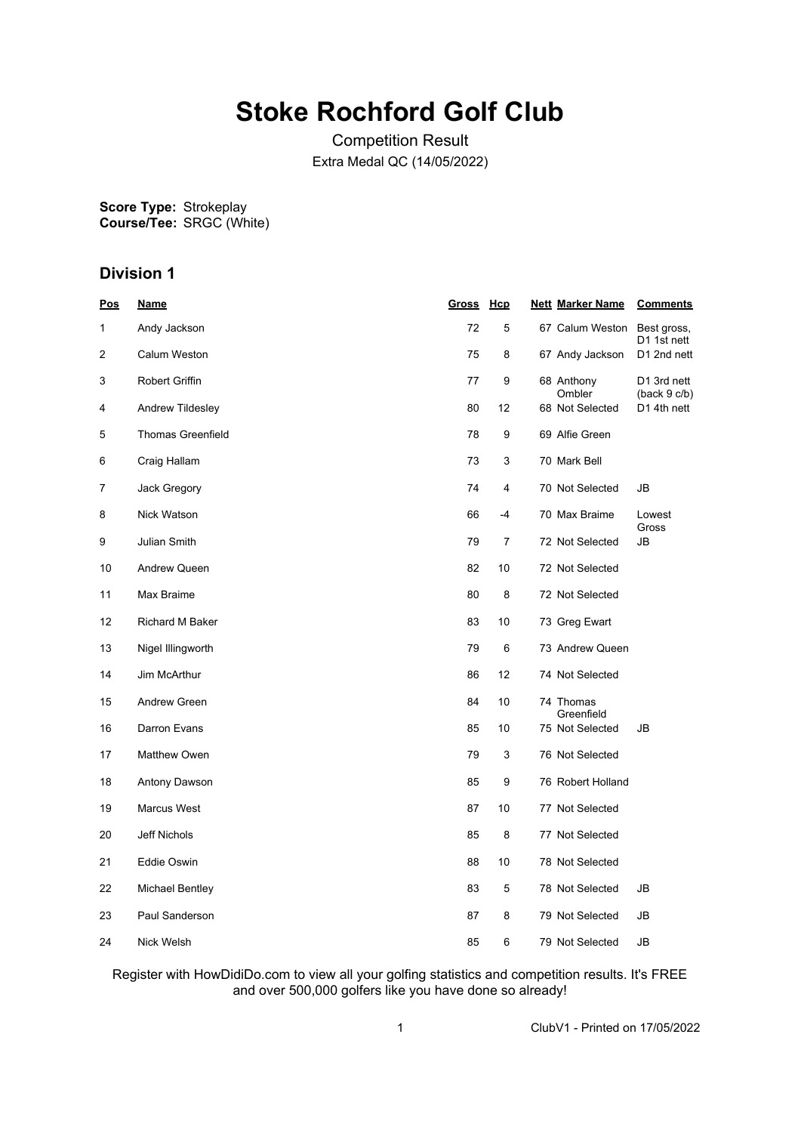# **Stoke Rochford Golf Club**

Competition Result Extra Medal QC (14/05/2022)

**Score Type: Course/Tee:** Strokeplay SRGC (White)

## **Division 1**

| <u>Pos</u> | <b>Name</b>              | Gross Hcp |                | <b>Nett Marker Name</b> | <b>Comments</b>             |
|------------|--------------------------|-----------|----------------|-------------------------|-----------------------------|
| 1          | Andy Jackson             | 72        | 5              | 67 Calum Weston         | Best gross,<br>D1 1st nett  |
| 2          | Calum Weston             | 75        | 8              | 67 Andy Jackson         | D1 2nd nett                 |
| 3          | <b>Robert Griffin</b>    | 77        | 9              | 68 Anthony<br>Ombler    | D1 3rd nett<br>(back 9 c/b) |
| 4          | Andrew Tildesley         | 80        | 12             | 68 Not Selected         | D1 4th nett                 |
| 5          | <b>Thomas Greenfield</b> | 78        | 9              | 69 Alfie Green          |                             |
| 6          | Craig Hallam             | 73        | 3              | 70 Mark Bell            |                             |
| 7          | Jack Gregory             | 74        | 4              | 70 Not Selected         | JB                          |
| 8          | Nick Watson              | 66        | $-4$           | 70 Max Braime           | Lowest<br>Gross             |
| 9          | Julian Smith             | 79        | $\overline{7}$ | 72 Not Selected         | JB                          |
| 10         | <b>Andrew Queen</b>      | 82        | 10             | 72 Not Selected         |                             |
| 11         | Max Braime               | 80        | 8              | 72 Not Selected         |                             |
| 12         | <b>Richard M Baker</b>   | 83        | 10             | 73 Greg Ewart           |                             |
| 13         | Nigel Illingworth        | 79        | 6              | 73 Andrew Queen         |                             |
| 14         | Jim McArthur             | 86        | 12             | 74 Not Selected         |                             |
| 15         | Andrew Green             | 84        | 10             | 74 Thomas<br>Greenfield |                             |
| 16         | Darron Evans             | 85        | 10             | 75 Not Selected         | JB                          |
| 17         | Matthew Owen             | 79        | 3              | 76 Not Selected         |                             |
| 18         | Antony Dawson            | 85        | 9              | 76 Robert Holland       |                             |
| 19         | Marcus West              | 87        | 10             | 77 Not Selected         |                             |
| 20         | Jeff Nichols             | 85        | 8              | 77 Not Selected         |                             |
| 21         | Eddie Oswin              | 88        | 10             | 78 Not Selected         |                             |
| 22         | <b>Michael Bentley</b>   | 83        | 5              | 78 Not Selected         | JB                          |
| 23         | Paul Sanderson           | 87        | 8              | 79 Not Selected         | JB                          |
| 24         | Nick Welsh               | 85        | 6              | 79 Not Selected         | JB                          |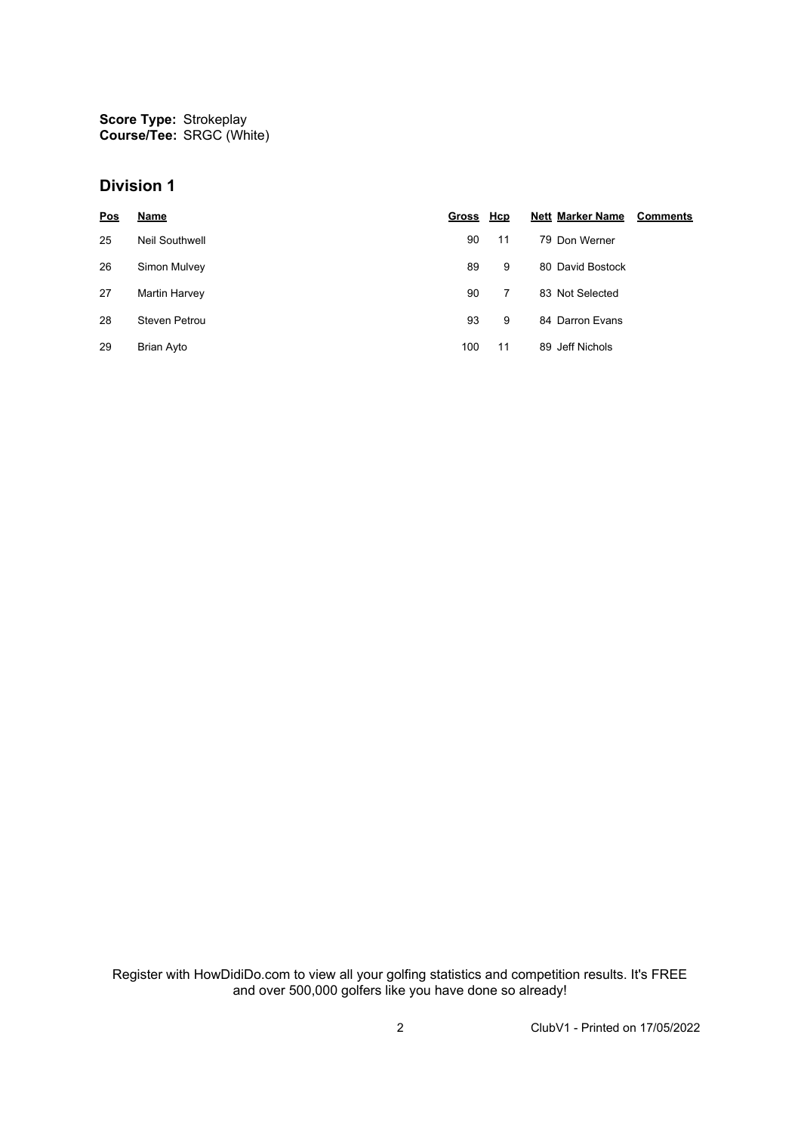**Score Type: Course/Tee:** Strokeplay SRGC (White)

#### **Division 1**

| Pos | Name                 | Gross Hcp |    | <b>Nett Marker Name</b> | <b>Comments</b> |
|-----|----------------------|-----------|----|-------------------------|-----------------|
| 25  | Neil Southwell       | 90        | 11 | 79 Don Werner           |                 |
| 26  | Simon Mulvey         | 89        | 9  | 80 David Bostock        |                 |
| 27  | Martin Harvey        | 90        | 7  | 83 Not Selected         |                 |
| 28  | <b>Steven Petrou</b> | 93        | 9  | 84 Darron Evans         |                 |
| 29  | <b>Brian Ayto</b>    | 100       | 11 | 89 Jeff Nichols         |                 |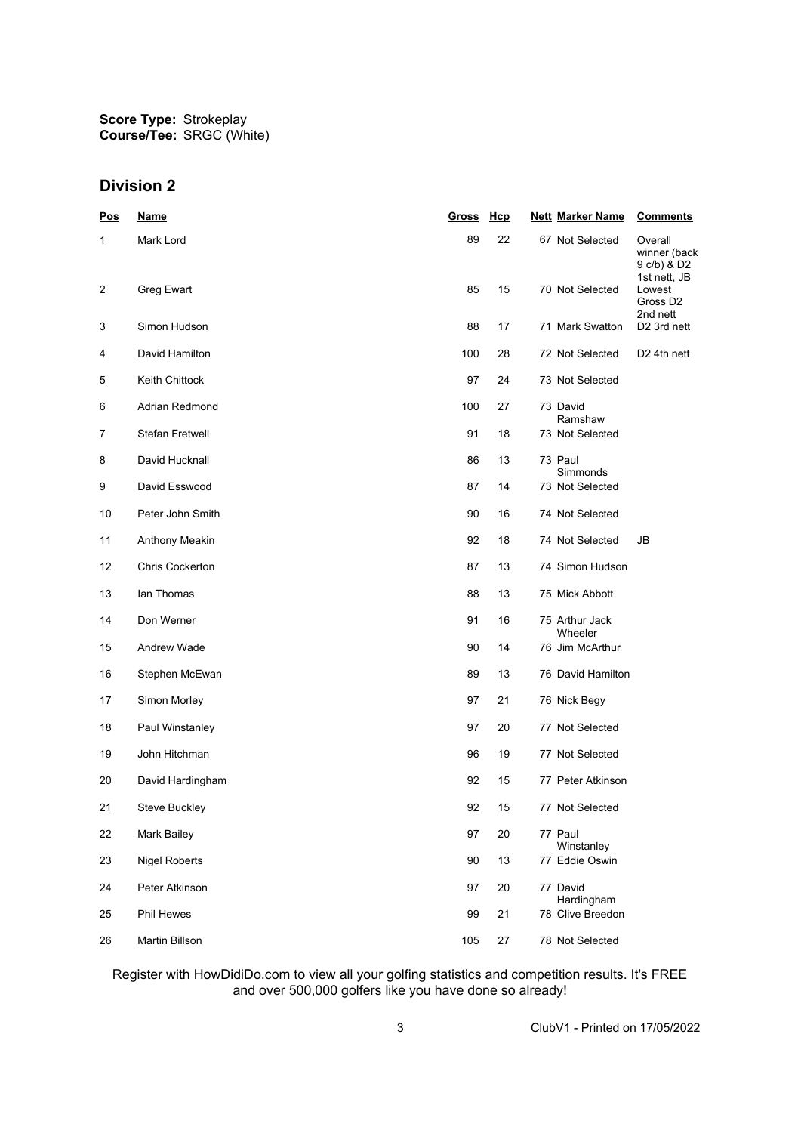## **Division 2**

| <u>Pos</u>     | <b>Name</b>            | <u>Gross</u> | <u>Hcp</u> | <b>Nett Marker Name</b>        | <b>Comments</b>                                        |
|----------------|------------------------|--------------|------------|--------------------------------|--------------------------------------------------------|
| 1              | Mark Lord              | 89           | 22         | 67 Not Selected                | Overall<br>winner (back<br>9 c/b) & D2<br>1st nett, JB |
| $\overline{c}$ | Greg Ewart             | 85           | 15         | 70 Not Selected                | Lowest<br>Gross D <sub>2</sub><br>2nd nett             |
| 3              | Simon Hudson           | 88           | 17         | 71 Mark Swatton                | D <sub>2</sub> 3rd nett                                |
| 4              | David Hamilton         | 100          | 28         | 72 Not Selected                | D <sub>2</sub> 4th nett                                |
| 5              | Keith Chittock         | 97           | 24         | 73 Not Selected                |                                                        |
| 6              | Adrian Redmond         | 100          | 27         | 73 David<br>Ramshaw            |                                                        |
| 7              | <b>Stefan Fretwell</b> | 91           | 18         | 73 Not Selected                |                                                        |
| 8              | David Hucknall         | 86           | 13         | 73 Paul<br>Simmonds            |                                                        |
| 9              | David Esswood          | 87           | 14         | 73 Not Selected                |                                                        |
| 10             | Peter John Smith       | 90           | 16         | 74 Not Selected                |                                                        |
| 11             | Anthony Meakin         | 92           | 18         | 74 Not Selected                | JB                                                     |
| 12             | Chris Cockerton        | 87           | 13         | 74 Simon Hudson                |                                                        |
| 13             | lan Thomas             | 88           | 13         | 75 Mick Abbott                 |                                                        |
| 14             | Don Werner             | 91           | 16         | 75 Arthur Jack<br>Wheeler      |                                                        |
| 15             | Andrew Wade            | 90           | 14         | 76 Jim McArthur                |                                                        |
| 16             | Stephen McEwan         | 89           | 13         | 76 David Hamilton              |                                                        |
| 17             | Simon Morley           | 97           | 21         | 76 Nick Begy                   |                                                        |
| 18             | Paul Winstanley        | 97           | 20         | 77 Not Selected                |                                                        |
| 19             | John Hitchman          | 96           | 19         | 77 Not Selected                |                                                        |
| 20             | David Hardingham       | 92           | 15         | 77 Peter Atkinson              |                                                        |
| 21             | <b>Steve Buckley</b>   | 92           | 15         | 77 Not Selected                |                                                        |
| 22             | Mark Bailey            | 97           | 20         | 77 Paul                        |                                                        |
| 23             | <b>Nigel Roberts</b>   | 90           | 13         | Winstanley<br>77 Eddie Oswin   |                                                        |
| 24             | Peter Atkinson         | 97           | 20         | 77 David                       |                                                        |
| 25             | Phil Hewes             | 99           | 21         | Hardingham<br>78 Clive Breedon |                                                        |
| 26             | Martin Billson         | 105          | 27         | 78 Not Selected                |                                                        |